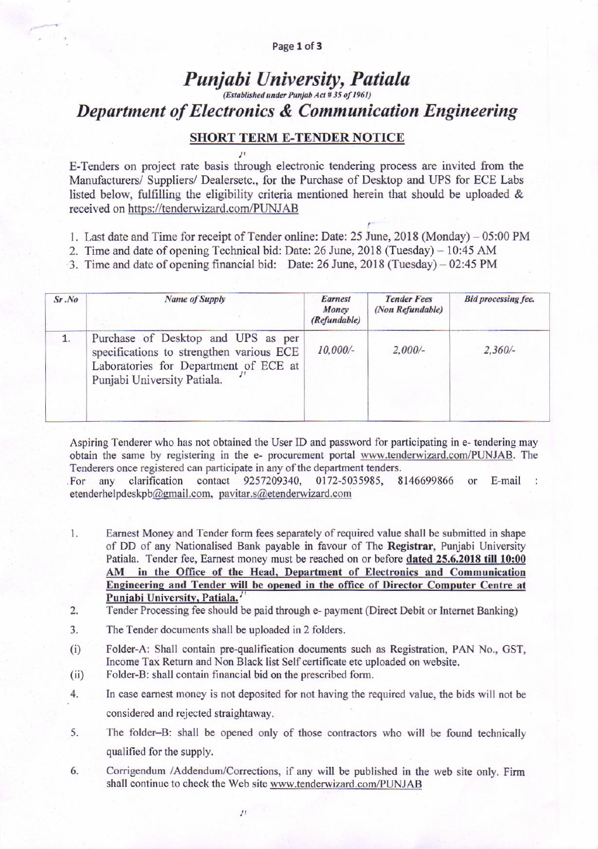#### Page 1 of 3

# Punjabi University, Patiala (Established under Punjab Act # 35 of 1961) **Department of Electronics & Communication Engineering**

## **SHORT TERM E-TENDER NOTICE**

E-Tenders on project rate basis through electronic tendering process are invited from the Manufacturers/ Suppliers/ Dealersetc., for the Purchase of Desktop and UPS for ECE Labs listed below, fulfilling the eligibility criteria mentioned herein that should be uploaded & received on https://tenderwizard.com/PUNJAB

- 1. Last date and Time for receipt of Tender online: Date: 25 June, 2018 (Monday) 05:00 PM
- 2. Time and date of opening Technical bid: Date: 26 June, 2018 (Tuesday) 10:45 AM
- 3. Time and date of opening financial bid: Date: 26 June, 2018 (Tuesday) 02:45 PM

| Sr.No | <b>Name of Supply</b>                                                                                                                                  | <b>Earnest</b><br>Money<br>(Refundable) | <b>Tender Fees</b><br>(Non Refundable) | <b>Bid processing fee.</b> |
|-------|--------------------------------------------------------------------------------------------------------------------------------------------------------|-----------------------------------------|----------------------------------------|----------------------------|
| 1.    | Purchase of Desktop and UPS as per<br>specifications to strengthen various ECE<br>Laboratories for Department of ECE at<br>Punjabi University Patiala. | $10,000/-$                              | $2,000/-$                              | $2,360/-$                  |

Aspiring Tenderer who has not obtained the User ID and password for participating in e- tendering may obtain the same by registering in the e- procurement portal www.tenderwizard.com/PUNJAB. The Tenderers once registered can participate in any of the department tenders.

contact any clarification 9257209340, 0172-5035985, 8146699866 or  $E$ -mail: For etenderhelpdeskpb@gmail.com, pavitar.s@etenderwizard.com

- Earnest Money and Tender form fees separately of required value shall be submitted in shape  $1.$ of DD of any Nationalised Bank payable in favour of The Registrar, Punjabi University Patiala. Tender fee, Earnest money must be reached on or before dated 25.6.2018 till 10:00 AM in the Office of the Head, Department of Electronics and Communication Engineering and Tender will be opened in the office of Director Computer Centre at Punjabi University, Patiala.
- $\overline{2}$ . Tender Processing fee should be paid through e- payment (Direct Debit or Internet Banking)
- 3. The Tender documents shall be uploaded in 2 folders.
- $(i)$ Folder-A: Shall contain pre-qualification documents such as Registration, PAN No., GST, Income Tax Return and Non Black list Self certificate etc uploaded on website.
- Folder-B: shall contain financial bid on the prescribed form.  $(ii)$
- 4. In case earnest money is not deposited for not having the required value, the bids will not be considered and rejected straightaway.
- 5. The folder-B: shall be opened only of those contractors who will be found technically qualified for the supply.
- 6. Corrigendum /Addendum/Corrections, if any will be published in the web site only. Firm shall continue to check the Web site www.tenderwizard.com/PUNJAB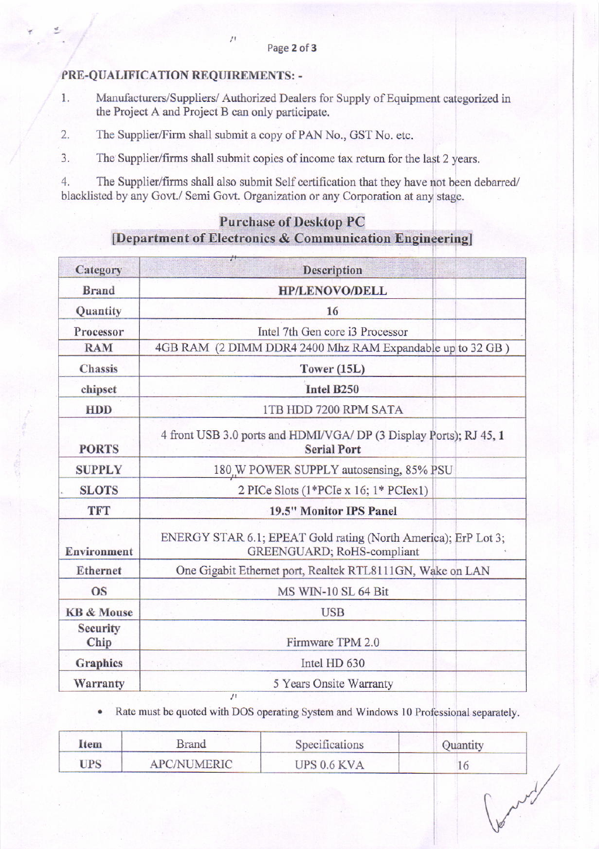## PRE-QUALIFICATION REQUIREMENTS: -

- Manufacturers/Suppliers/ Authorized Dealers for Supply of Equipment categorized in 1. the Project A and Project B can only participate.
- $2.$ The Supplier/Firm shall submit a copy of PAN No., GST No. etc.

 $\overline{J}$ 

 $3.$ The Supplier/firms shall submit copies of income tax return for the last 2 years.

 $4.$ The Supplier/firms shall also submit Self certification that they have not been debarred/ blacklisted by any Govt./ Semi Govt. Organization or any Corporation at any stage.

# **Purchase of Desktop PC** [Department of Electronics & Communication Engineering]

| <b>Description</b>                                                                                   |
|------------------------------------------------------------------------------------------------------|
| <b>HP/LENOVO/DELL</b>                                                                                |
| 16                                                                                                   |
| Intel 7th Gen core i3 Processor                                                                      |
| 4GB RAM (2 DIMM DDR4 2400 Mhz RAM Expandable up to 32 GB)                                            |
| Tower $(15L)$                                                                                        |
| Intel B250                                                                                           |
| 1TB HDD 7200 RPM SATA                                                                                |
| 4 front USB 3.0 ports and HDMI/VGA/ DP (3 Display Ports); RJ 45, 1<br><b>Serial Port</b>             |
| 180 W POWER SUPPLY autosensing, 85% PSU                                                              |
| 2 PICe Slots $(1*PCIe \times 16; 1*PCIex1)$                                                          |
| 19.5" Monitor IPS Panel                                                                              |
| ENERGY STAR 6.1; EPEAT Gold rating (North America); ErP Lot 3;<br><b>GREENGUARD</b> ; RoHS-compliant |
| One Gigabit Ethernet port, Realtek RTL8111GN, Wake on LAN                                            |
| MS WIN-10 SL 64 Bit                                                                                  |
| <b>USB</b>                                                                                           |
| Firmware TPM 2.0                                                                                     |
| Intel HD 630                                                                                         |
| 5 Years Onsite Warranty                                                                              |
|                                                                                                      |

Rate must be quoted with DOS operating System and Windows 10 Professional separately.

| Item       | <b>Brand</b> | Specifications | Quantity |
|------------|--------------|----------------|----------|
| <b>UPS</b> | APC/NUMERIC  | UPS 0.6 KVA    |          |
|            |              |                |          |
|            |              |                |          |
|            |              |                |          |